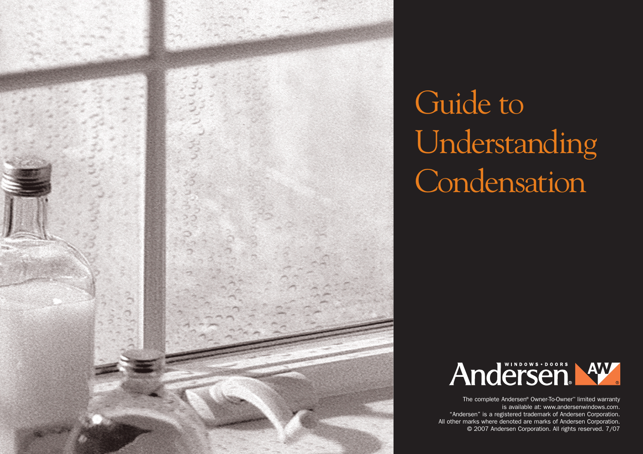

# Guide to Understanding **Condensation**



The complete Andersen® Owner-To-Owner™ limited warranty is available at: www.andersenwindows.com. "Andersen" is a registered trademark of Andersen Corporation. All other marks where denoted are marks of Andersen Corporation. © 2007 Andersen Corporation. All rights reserved. 7/07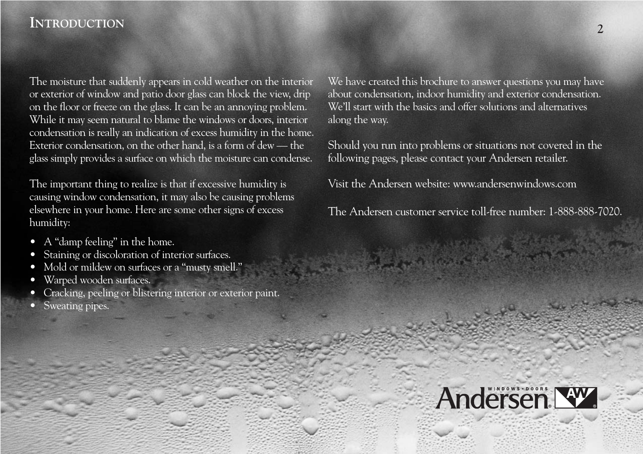#### **INTRODUCTION**

The moisture that suddenly appears in cold weather on the interior or exterior of window and patio door glass can block the view, drip on the floor or freeze on the glass. It can be an annoying problem. While it may seem natural to blame the windows or doors, interior condensation is really an indication of excess humidity in the home. Exterior condensation, on the other hand, is a form of dew — the glass simply provides a surface on which the moisture can condense.

The important thing to realize is that if excessive humidity is causing window condensation, it may also be causing problems elsewhere in your home. Here are some other signs of excess humidity:

- A "damp feeling" in the home.
- Staining or discoloration of interior surfaces.
- Mold or mildew on surfaces or a "musty smell."
- Warped wooden surfaces.
- Cracking, peeling or blistering interior or exterior paint.
- Sweating pipes.

We have created this brochure to answer questions you may have about condensation, indoor humidity and exterior condensation. We'll start with the basics and offer solutions and alternatives along the way.

Should you run into problems or situations not covered in the following pages, please contact your Andersen retailer.

Visit the Andersen website: www.andersenwindows.com

The Andersen customer service toll-free number: 1-888-888-7020.

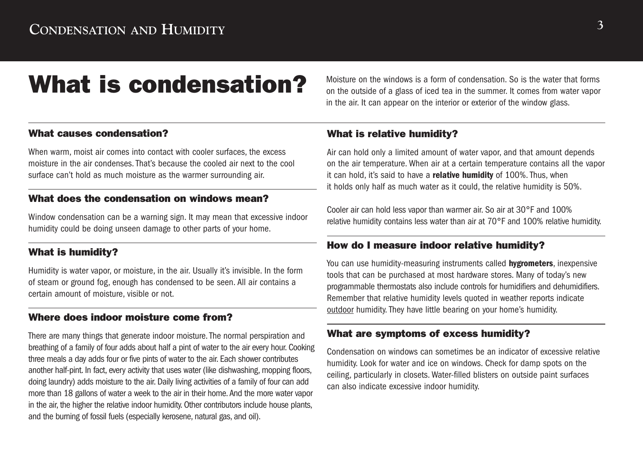## What is condensation? Moisture on the windows is a form of condensation. So is the water that forms

What causes condensation?

When warm, moist air comes into contact with cooler surfaces, the excess moisture in the air condenses. That's because the cooled air next to the cool surface can't hold as much moisture as the warmer surrounding air.

#### What does the condensation on windows mean?

Window condensation can be a warning sign. It may mean that excessive indoor humidity could be doing unseen damage to other parts of your home.

#### What is humidity?

Humidity is water vapor, or moisture, in the air. Usually it's invisible. In the form of steam or ground fog, enough has condensed to be seen. All air contains a certain amount of moisture, visible or not.

#### Where does indoor moisture come from?

There are many things that generate indoor moisture. The normal perspiration and breathing of a family of four adds about half a pint of water to the air every hour. Cooking three meals a day adds four or five pints of water to the air. Each shower contributes another half-pint. In fact, every activity that uses water (like dishwashing, mopping floors, doing laundry) adds moisture to the air. Daily living activities of a family of four can add more than 18 gallons of water a week to the air in their home. And the more water vapor in the air, the higher the relative indoor humidity. Other contributors include house plants, and the burning of fossil fuels (especially kerosene, natural gas, and oil).

on the outside of a glass of iced tea in the summer. It comes from water vapor in the air. It can appear on the interior or exterior of the window glass.

#### What is relative humidity?

Air can hold only a limited amount of water vapor, and that amount depends on the air temperature. When air at a certain temperature contains all the vapor it can hold, it's said to have a **relative humidity** of 100%. Thus, when it holds only half as much water as it could, the relative humidity is 50%.

Cooler air can hold less vapor than warmer air. So air at 30°F and 100% relative humidity contains less water than air at 70°F and 100% relative humidity.

#### How do I measure indoor relative humidity?

You can use humidity-measuring instruments called **hygrometers**, inexpensive tools that can be purchased at most hardware stores. Many of today's new programmable thermostats also include controls for humidifiers and dehumidifiers. Remember that relative humidity levels quoted in weather reports indicate outdoor humidity. They have little bearing on your home's humidity.

#### What are symptoms of excess humidity?

Condensation on windows can sometimes be an indicator of excessive relative humidity. Look for water and ice on windows. Check for damp spots on the ceiling, particularly in closets. Water-filled blisters on outside paint surfaces can also indicate excessive indoor humidity.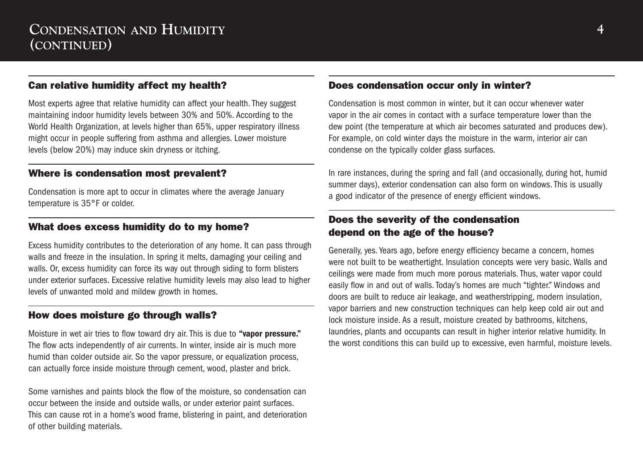#### Can relative humidity affect my health?

Most experts agree that relative humidity can affect your health. They suggest maintaining indoor humidity levels between 30% and 50%. According to the World Health Organization, at levels higher than 65%, upper respiratory illness might occur in people suffering from asthma and allergies. Lower moisture levels (below 20%) may induce skin dryness or itching.

#### Where is condensation most prevalent?

Condensation is more apt to occur in climates where the average January temperature is 35°F or colder.

#### What does excess humidity do to my home?

Excess humidity contributes to the deterioration of any home. It can pass through walls and freeze in the insulation. In spring it melts, damaging your ceiling and walls. Or, excess humidity can force its way out through siding to form blisters under exterior surfaces. Excessive relative humidity levels may also lead to higher levels of unwanted mold and mildew growth in homes.

#### How does moisture go through walls?

Moisture in wet air tries to flow toward dry air. This is due to **"vapor pressure."** The flow acts independently of air currents. In winter, inside air is much more humid than colder outside air. So the vapor pressure, or equalization process, can actually force inside moisture through cement, wood, plaster and brick.

Some varnishes and paints block the flow of the moisture, so condensation can occur between the inside and outside walls, or under exterior paint surfaces. This can cause rot in a home's wood frame, blistering in paint, and deterioration of other building materials.

#### Does condensation occur only in winter?

Condensation is most common in winter, but it can occur whenever water vapor in the air comes in contact with a surface temperature lower than the dew point (the temperature at which air becomes saturated and produces dew). For example, on cold winter days the moisture in the warm, interior air can condense on the typically colder glass surfaces.

In rare instances, during the spring and fall (and occasionally, during hot, humid summer days), exterior condensation can also form on windows. This is usually a good indicator of the presence of energy efficient windows.

#### Does the severity of the condensation depend on the age of the house?

Generally, yes. Years ago, before energy efficiency became a concern, homes were not built to be weathertight. Insulation concepts were very basic. Walls and ceilings were made from much more porous materials. Thus, water vapor could easily flow in and out of walls. Today's homes are much "tighter." Windows and doors are built to reduce air leakage, and weatherstripping, modern insulation, vapor barriers and new construction techniques can help keep cold air out and lock moisture inside. As a result, moisture created by bathrooms, kitchens, laundries, plants and occupants can result in higher interior relative humidity. In the worst conditions this can build up to excessive, even harmful, moisture levels.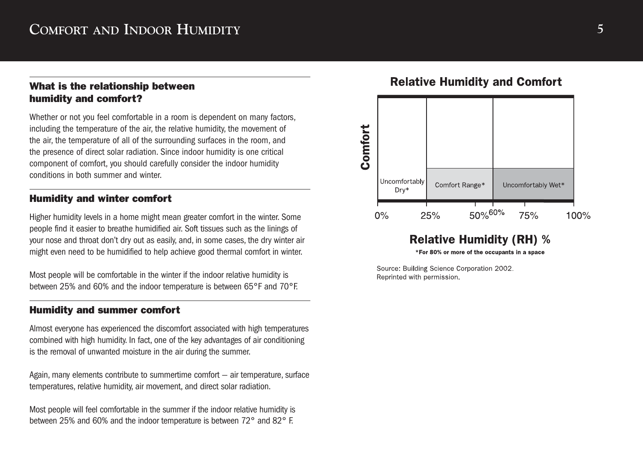#### What is the relationship between humidity and comfort?

Whether or not you feel comfortable in a room is dependent on many factors, including the temperature of the air, the relative humidity, the movement of the air, the temperature of all of the surrounding surfaces in the room, and the presence of direct solar radiation. Since indoor humidity is one critical component of comfort, you should carefully consider the indoor humidity conditions in both summer and winter. **COMFORT AND INDOOR HUMIDITY**<br> **What is the relationship between**<br> **humidity and comfort?**<br>
Whether or not you feel comfortable in a room is dependent on many factors<br>
including the temperature of the air, the temperature

#### Humidity and winter comfort

Higher humidity levels in a home might mean greater comfort in the winter. Some people find it easier to breathe humidified air. Soft tissues such as the linings of your nose and throat don't dry out as easily, and, in some cases, the dry winter air might even need to be humidified to help achieve good thermal comfort in winter.

Most people will be comfortable in the winter if the indoor relative humidity is between 25% and 60% and the indoor temperature is between 65°F and 70°F.

#### Humidity and summer comfort

Almost everyone has experienced the discomfort associated with high temperatures combined with high humidity. In fact, one of the key advantages of air conditioning is the removal of unwanted moisture in the air during the summer.

Again, many elements contribute to summertime comfort — air temperature, surface temperatures, relative humidity, air movement, and direct solar radiation.

Most people will feel comfortable in the summer if the indoor relative humidity is



#### **Relative Humidity (RH) %**

\*For 80% or more of the occupants in a space

Source: Building Science Corporation 2002. Reprinted with permission.

Comfort

Uncomfortably

 $0\%$ 

#### **Relative Humidity and Comfort**

100%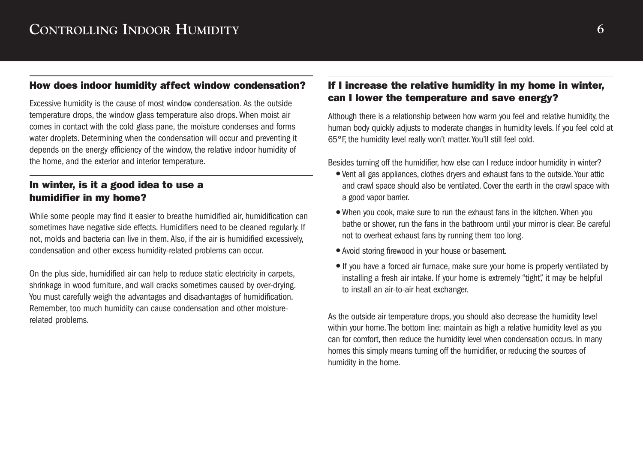#### How does indoor humidity affect window condensation?

Excessive humidity is the cause of most window condensation. As the outside temperature drops, the window glass temperature also drops. When moist air comes in contact with the cold glass pane, the moisture condenses and forms water droplets. Determining when the condensation will occur and preventing it depends on the energy efficiency of the window, the relative indoor humidity of the home, and the exterior and interior temperature.

#### In winter, is it a good idea to use a humidifier in my home?

While some people may find it easier to breathe humidified air, humidification can sometimes have negative side effects. Humidifiers need to be cleaned regularly. If not, molds and bacteria can live in them. Also, if the air is humidified excessively, condensation and other excess humidity-related problems can occur.

On the plus side, humidified air can help to reduce static electricity in carpets, shrinkage in wood furniture, and wall cracks sometimes caused by over-drying. You must carefully weigh the advantages and disadvantages of humidification. Remember, too much humidity can cause condensation and other moisturerelated problems.

#### If I increase the relative humidity in my home in winter, can I lower the temperature and save energy?

Although there is a relationship between how warm you feel and relative humidity, the human body quickly adjusts to moderate changes in humidity levels. If you feel cold at 65°F, the humidity level really won't matter. You'll still feel cold.

Besides turning off the humidifier, how else can I reduce indoor humidity in winter?

- Vent all gas appliances, clothes dryers and exhaust fans to the outside.Your attic and crawl space should also be ventilated. Cover the earth in the crawl space with a good vapor barrier.
- When you cook, make sure to run the exhaust fans in the kitchen. When you bathe or shower, run the fans in the bathroom until your mirror is clear. Be careful not to overheat exhaust fans by running them too long.
- Avoid storing firewood in your house or basement.
- If you have a forced air furnace, make sure your home is properly ventilated by installing a fresh air intake. If your home is extremely "tight", it may be helpful to install an air-to-air heat exchanger.

As the outside air temperature drops, you should also decrease the humidity level within your home. The bottom line: maintain as high a relative humidity level as you can for comfort, then reduce the humidity level when condensation occurs. In many homes this simply means turning off the humidifier, or reducing the sources of humidity in the home.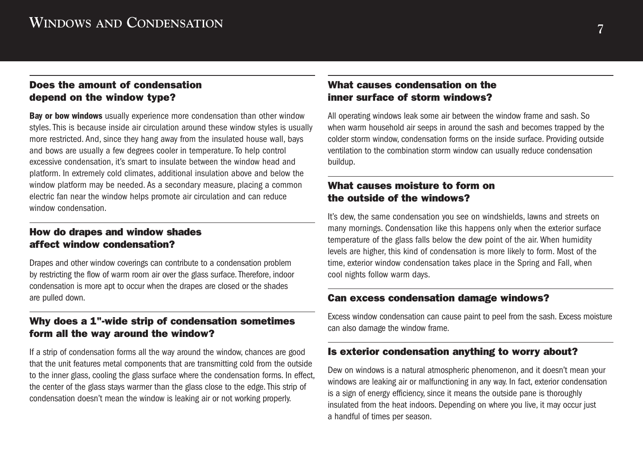#### Does the amount of condensation depend on the window type?

**Bay or bow windows** usually experience more condensation than other window styles. This is because inside air circulation around these window styles is usually more restricted. And, since they hang away from the insulated house wall, bays and bows are usually a few degrees cooler in temperature. To help control excessive condensation, it's smart to insulate between the window head and platform. In extremely cold climates, additional insulation above and below the window platform may be needed. As a secondary measure, placing a common electric fan near the window helps promote air circulation and can reduce window condensation.

#### How do drapes and window shades affect window condensation?

Drapes and other window coverings can contribute to a condensation problem by restricting the flow of warm room air over the glass surface. Therefore, indoor condensation is more apt to occur when the drapes are closed or the shades are pulled down.

#### Why does a 1"-wide strip of condensation sometimes form all the way around the window?

If a strip of condensation forms all the way around the window, chances are good that the unit features metal components that are transmitting cold from the outside to the inner glass, cooling the glass surface where the condensation forms. In effect, the center of the glass stays warmer than the glass close to the edge. This strip of condensation doesn't mean the window is leaking air or not working properly.

#### What causes condensation on the inner surface of storm windows?

All operating windows leak some air between the window frame and sash. So when warm household air seeps in around the sash and becomes trapped by the colder storm window, condensation forms on the inside surface. Providing outside ventilation to the combination storm window can usually reduce condensation buildup.

#### What causes moisture to form on the outside of the windows?

It's dew, the same condensation you see on windshields, lawns and streets on many mornings. Condensation like this happens only when the exterior surface temperature of the glass falls below the dew point of the air. When humidity levels are higher, this kind of condensation is more likely to form. Most of the time, exterior window condensation takes place in the Spring and Fall, when cool nights follow warm days.

#### Can excess condensation damage windows?

Excess window condensation can cause paint to peel from the sash. Excess moisture can also damage the window frame.

#### Is exterior condensation anything to worry about?

Dew on windows is a natural atmospheric phenomenon, and it doesn't mean your windows are leaking air or malfunctioning in any way. In fact, exterior condensation is a sign of energy efficiency, since it means the outside pane is thoroughly insulated from the heat indoors. Depending on where you live, it may occur just a handful of times per season.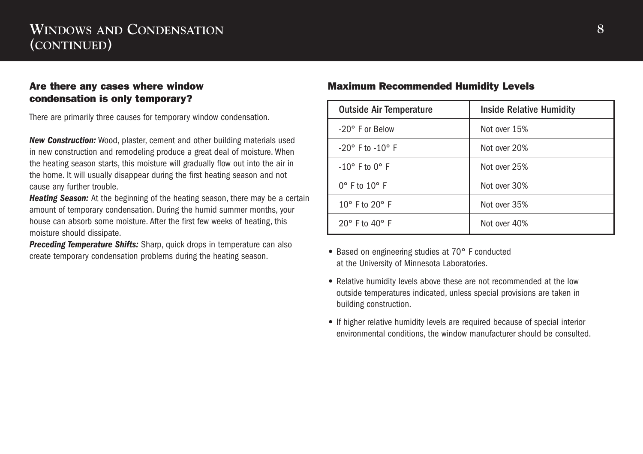### **WINDOWS AND CONDENSATION (CONTINUED)**

#### Are there any cases where window condensation is only temporary?

There are primarily three causes for temporary window condensation.

*New Construction:* Wood, plaster, cement and other building materials used in new construction and remodeling produce a great deal of moisture. When the heating season starts, this moisture will gradually flow out into the air in the home. It will usually disappear during the first heating season and not cause any further trouble.

*Heating Season:* At the beginning of the heating season, there may be a certain amount of temporary condensation. During the humid summer months, your house can absorb some moisture. After the first few weeks of heating, this moisture should dissipate.

**Preceding Temperature Shifts:** Sharp, quick drops in temperature can also create temporary condensation problems during the heating season.

#### Maximum Recommended Humidity Levels

| <b>Outside Air Temperature</b>   | <b>Inside Relative Humidity</b> |
|----------------------------------|---------------------------------|
| $-20^\circ$ F or Below           | Not over 15%                    |
| $-20^\circ$ F to $-10^\circ$ F   | Not over 20%                    |
| $-10^{\circ}$ F to $0^{\circ}$ F | Not over 25%                    |
| $0^\circ$ F to $10^\circ$ F      | Not over 30%                    |
| $10^{\circ}$ F to $20^{\circ}$ F | Not over 35%                    |
| $20^\circ$ F to $40^\circ$ F     | Not over 40%                    |

- Based on engineering studies at 70° F conducted at the University of Minnesota Laboratories.
- Relative humidity levels above these are not recommended at the low outside temperatures indicated, unless special provisions are taken in building construction.
- If higher relative humidity levels are required because of special interior environmental conditions, the window manufacturer should be consulted.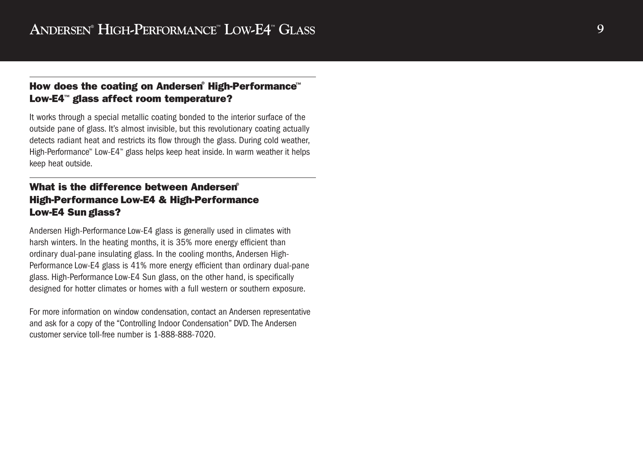#### How does the coating on Andersen® High-Performance™ Low-E4 ™ glass affect room temperature?

It works through a special metallic coating bonded to the interior surface of the outside pane of glass. It's almost invisible, but this revolutionary coating actually detects radiant heat and restricts its flow through the glass. During cold weather, High-Performance™ Low-E4 ™ glass helps keep heat inside. In warm weather it helps keep heat outside.

#### What is the difference between Andersen® High-Performance Low-E4 & High-Performance Low-E4 Sun glass?

Andersen High-Performance Low-E4 glass is generally used in climates with harsh winters. In the heating months, it is 35% more energy efficient than ordinary dual-pane insulating glass. In the cooling months, Andersen High-Performance Low-E4 glass is 41% more energy efficient than ordinary dual-pane glass. High-Performance Low-E4 Sun glass, on the other hand, is specifically designed for hotter climates or homes with a full western or southern exposure.

For more information on window condensation, contact an Andersen representative and ask for a copy of the "Controlling Indoor Condensation" DVD. The Andersen customer service toll-free number is 1-888-888-7020.